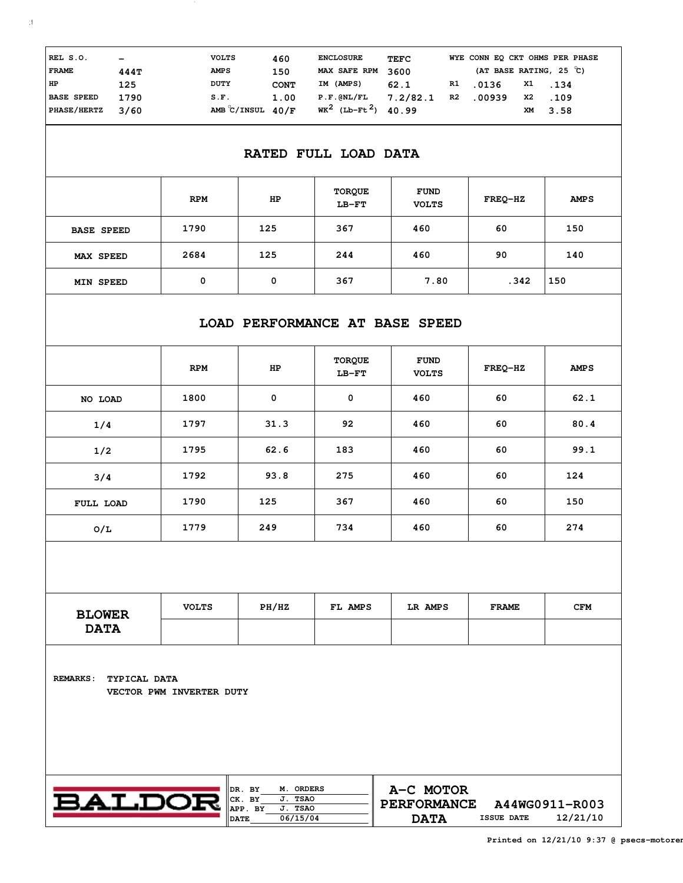| REL S.O.<br><b>FRAME</b>                | $\qquad \qquad \blacksquare$<br>444T | <b>VOLTS</b><br><b>AMPS</b>                  | 460<br>150  | <b>ENCLOSURE</b><br>MAX SAFE RPM           | <b>TEFC</b><br>3600 |    | (AT BASE RATING, 25 C) |          | WYE CONN EO CKT OHMS PER PHASE |
|-----------------------------------------|--------------------------------------|----------------------------------------------|-------------|--------------------------------------------|---------------------|----|------------------------|----------|--------------------------------|
| HP                                      | 125                                  | DUTY                                         | <b>CONT</b> | IM (AMPS)                                  | 62.1                | R1 | .0136                  | X1       | .134                           |
| <b>BASE SPEED</b><br><b>PHASE/HERTZ</b> | 1790<br>3/60                         | S.F.<br>AMB $\mathrm{C}/\mathrm{INSUL}$ 40/F | 1.00        | P.F.GNL/FL<br>$WK^2$ (Lb-Ft <sup>2</sup> ) | 7.2/82.1<br>40.99   | R2 | .00939                 | X2<br>XМ | .109<br>3.58                   |

 $\sim$ 

## **RATED FULL LOAD DATA**

|                   | <b>RPM</b> | HP  | <b>TORQUE</b><br>$LB-FT$ | <b>FUND</b><br><b>VOLTS</b> | FREQ-HZ | <b>AMPS</b> |
|-------------------|------------|-----|--------------------------|-----------------------------|---------|-------------|
| <b>BASE SPEED</b> | 1790       | 125 | 367                      | 460                         | 60      | 150         |
| MAX SPEED         | 2684       | 125 | 244                      | 460                         | 90      | 140         |
| MIN SPEED         | 0          | 0   | 367                      | 7.80                        | .342    | 150         |

## **LOAD PERFORMANCE AT BASE SPEED**

|           | <b>RPM</b> | HP   | <b>TORQUE</b><br>$LB-FT$ | <b>FUND</b><br><b>VOLTS</b> | FREQ-HZ | <b>AMPS</b> |
|-----------|------------|------|--------------------------|-----------------------------|---------|-------------|
| NO LOAD   | 1800       | 0    | 0                        | 460                         | 60      | 62.1        |
| 1/4       | 1797       | 31.3 | 92                       | 460                         | 60      | 80.4        |
| 1/2       | 1795       | 62.6 | 183                      | 460                         | 60      | 99.1        |
| 3/4       | 1792       | 93.8 | 275                      | 460                         | 60      | 124         |
| FULL LOAD | 1790       | 125  | 367                      | 460                         | 60      | 150         |
| O/L       | 1779       | 249  | 734                      | 460                         | 60      | 274         |

| <b>BLOWER</b> | <b>VOLTS</b> | PH/HZ | FL AMPS | LR AMPS | <b>FRAME</b> | <b>CFM</b> |
|---------------|--------------|-------|---------|---------|--------------|------------|
| <b>DATA</b>   |              |       |         |         |              |            |

**TYPICAL DATA REMARKS: VECTOR PWM INVERTER DUTY**

| BALDOR |
|--------|
|        |

| M. ORDERS   |                                       |                                                   |
|-------------|---------------------------------------|---------------------------------------------------|
| <b>TSAO</b> |                                       |                                                   |
| J. TSAO     |                                       |                                                   |
| 06/15/04    | 12/21/10<br><b>DATA</b><br>ISSUE DATE |                                                   |
|             |                                       | A-C MOTOR<br><b>PERFORMANCE</b><br>A44WG0911-R003 |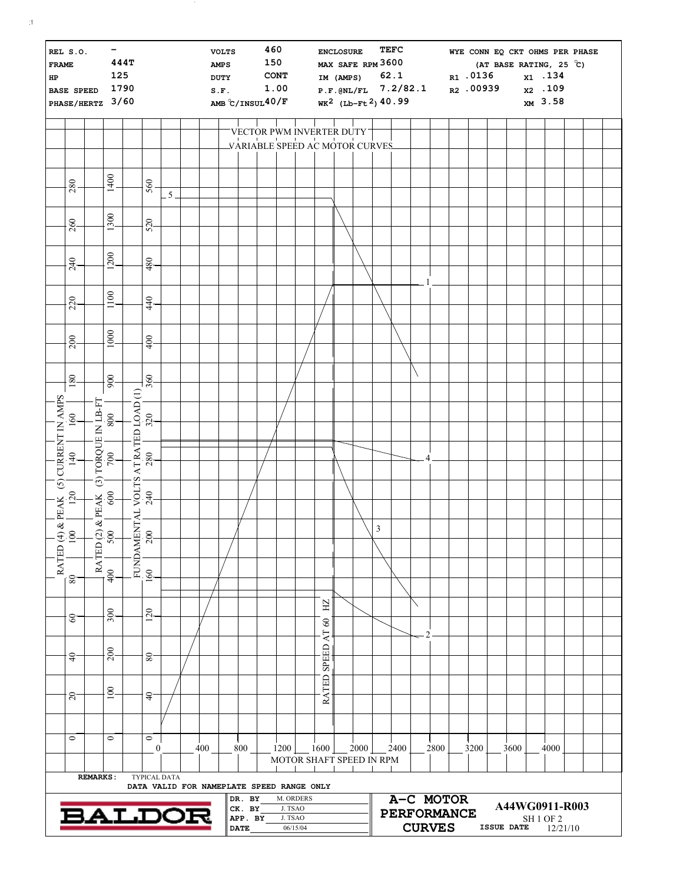| <b>FRAME</b><br>HP  | REL S.O.<br><b>BASE SPEED</b> | PHASE/HERTZ 3/60 | $\overline{\phantom{0}}$<br>125<br>1790                                                       | 444T |                                                           |      |     | <b>VOLTS</b><br><b>AMPS</b><br>DUTY<br>S.F.<br>AMB $\degree$ C/INSUL40/F |                                            | 460<br>150 | <b>CONT</b><br>1.00                       |                       |                                                           | <b>ENCLOSURE</b> | MAX SAFE RPM 3600<br>IM (AMPS) |   | TEFC<br>62.1<br>$P.F.GNL/FL$ 7.2/82.1<br>WK <sup>2</sup> (Lb-Ft <sup>2</sup> ) 40.99 |   |                                                  | R1.0136 | WYE CONN EQ CKT OHMS PER PHASE<br>(AT BASE RATING, 25 $\degree$ C)<br>R2 .00939 | x1.134<br>x <sub>2</sub> .109<br>XM 3.58    |  |  |
|---------------------|-------------------------------|------------------|-----------------------------------------------------------------------------------------------|------|-----------------------------------------------------------|------|-----|--------------------------------------------------------------------------|--------------------------------------------|------------|-------------------------------------------|-----------------------|-----------------------------------------------------------|------------------|--------------------------------|---|--------------------------------------------------------------------------------------|---|--------------------------------------------------|---------|---------------------------------------------------------------------------------|---------------------------------------------|--|--|
|                     |                               |                  |                                                                                               |      |                                                           |      |     |                                                                          |                                            |            | VECTOR PWM INVERTER DUTY                  |                       |                                                           |                  |                                |   |                                                                                      |   |                                                  |         |                                                                                 |                                             |  |  |
|                     |                               |                  |                                                                                               |      |                                                           |      |     |                                                                          |                                            |            | VARIABLE SPEED AC MOTOR CURVES            |                       |                                                           |                  |                                |   |                                                                                      |   |                                                  |         |                                                                                 |                                             |  |  |
|                     | 280                           |                  | 1400                                                                                          |      | 560                                                       | $-5$ |     |                                                                          |                                            |            |                                           |                       |                                                           |                  |                                |   |                                                                                      |   |                                                  |         |                                                                                 |                                             |  |  |
|                     | 260                           |                  | 1300                                                                                          |      | 520                                                       |      |     |                                                                          |                                            |            |                                           |                       |                                                           |                  |                                |   |                                                                                      |   |                                                  |         |                                                                                 |                                             |  |  |
|                     | 240                           |                  | 1200                                                                                          |      | 480                                                       |      |     |                                                                          |                                            |            |                                           |                       |                                                           |                  |                                |   |                                                                                      |   |                                                  |         |                                                                                 |                                             |  |  |
|                     | 220                           |                  | 1100                                                                                          |      | 440                                                       |      |     |                                                                          |                                            |            |                                           |                       |                                                           |                  |                                |   |                                                                                      |   |                                                  |         |                                                                                 |                                             |  |  |
|                     | 200                           |                  | 1000                                                                                          |      | 400                                                       |      |     |                                                                          |                                            |            |                                           |                       |                                                           |                  |                                |   |                                                                                      |   |                                                  |         |                                                                                 |                                             |  |  |
|                     |                               |                  |                                                                                               |      |                                                           |      |     |                                                                          |                                            |            |                                           |                       |                                                           |                  |                                |   |                                                                                      |   |                                                  |         |                                                                                 |                                             |  |  |
|                     | 180                           |                  | 900                                                                                           |      | $+$ g-                                                    |      |     |                                                                          |                                            |            |                                           |                       |                                                           |                  |                                |   |                                                                                      |   |                                                  |         |                                                                                 |                                             |  |  |
| (5) CURRENT IN AMPS | $160 -$                       |                  | $\begin{array}{c c} \text{(3) TORQUE IN LBF} \ \text{FFT} \\ \hline 700 & 800 \\ \end{array}$ |      | ENTAL VOLTS AT RATED LOAD (1)<br>00   240   280   320   3 |      |     |                                                                          |                                            |            |                                           |                       |                                                           |                  |                                |   |                                                                                      |   |                                                  |         |                                                                                 |                                             |  |  |
|                     | $\frac{40}{1}$                |                  |                                                                                               |      |                                                           |      |     |                                                                          |                                            |            |                                           |                       |                                                           |                  |                                |   |                                                                                      |   |                                                  |         |                                                                                 |                                             |  |  |
|                     |                               |                  |                                                                                               |      |                                                           |      |     |                                                                          |                                            |            |                                           |                       |                                                           |                  |                                |   |                                                                                      |   |                                                  |         |                                                                                 |                                             |  |  |
|                     | $(4)$ & PEAK (<br>100 120     |                  | $\begin{array}{c}\n & \text{PEAK} \\  & \text{900}\n\end{array}$<br>$\widehat{N}$             |      |                                                           |      |     |                                                                          |                                            |            |                                           |                       |                                                           |                  |                                | 3 |                                                                                      |   |                                                  |         |                                                                                 |                                             |  |  |
| <b>RATED</b>        |                               | RATED            | 5                                                                                             |      | FUNDAMI<br>160   26                                       |      |     |                                                                          |                                            |            |                                           |                       |                                                           |                  |                                |   |                                                                                      |   |                                                  |         |                                                                                 |                                             |  |  |
|                     | 80                            |                  | 400                                                                                           |      |                                                           |      |     |                                                                          |                                            |            |                                           |                       |                                                           |                  |                                |   |                                                                                      |   |                                                  |         |                                                                                 |                                             |  |  |
|                     | $60 -$                        |                  | 300                                                                                           |      | 120                                                       |      |     |                                                                          |                                            |            |                                           |                       | $\rm HZ$<br>$\mbox{ }_{\mbox{}}\mbox{ }$<br>$\mathsf{AT}$ |                  |                                |   |                                                                                      | 2 |                                                  |         |                                                                                 |                                             |  |  |
|                     | $\frac{1}{2}$                 |                  | 200                                                                                           |      | $80 -$                                                    |      |     |                                                                          |                                            |            |                                           |                       | SPEED                                                     |                  |                                |   |                                                                                      |   |                                                  |         |                                                                                 |                                             |  |  |
|                     | 20                            |                  | 100                                                                                           |      | $\frac{1}{4}$                                             |      |     |                                                                          |                                            |            |                                           |                       | RATED                                                     |                  |                                |   |                                                                                      |   |                                                  |         |                                                                                 |                                             |  |  |
|                     |                               |                  |                                                                                               |      |                                                           |      |     |                                                                          |                                            |            |                                           |                       |                                                           |                  |                                |   |                                                                                      |   |                                                  |         |                                                                                 |                                             |  |  |
|                     | $\circ$                       |                  | $\bullet$                                                                                     |      | $\circ$<br>$\boldsymbol{0}$                               |      | 400 |                                                                          | 800                                        |            | 1200<br>MOTOR SHAFT SPEED IN RPM          |                       | $-1600$                                                   |                  | 2000                           |   | 2400                                                                                 |   | 2800                                             | 3200    | 3600                                                                            | 4000                                        |  |  |
|                     |                               | <b>REMARKS:</b>  |                                                                                               |      | TYPICAL DATA                                              |      |     |                                                                          |                                            |            | DATA VALID FOR NAMEPLATE SPEED RANGE ONLY |                       |                                                           |                  |                                |   |                                                                                      |   |                                                  |         |                                                                                 |                                             |  |  |
|                     |                               |                  |                                                                                               | ALDO |                                                           |      |     |                                                                          | DR. BY<br>CK. BY<br>APP. BY<br><b>DATE</b> |            | J. TSAO<br>J. TSAO                        | M. ORDERS<br>06/15/04 |                                                           |                  |                                |   |                                                                                      |   | A-C MOTOR<br><b>PERFORMANCE</b><br><b>CURVES</b> |         | A44WG0911-R003<br>ISSUE DATE                                                    | SH <sub>1</sub> OF <sub>2</sub><br>12/21/10 |  |  |